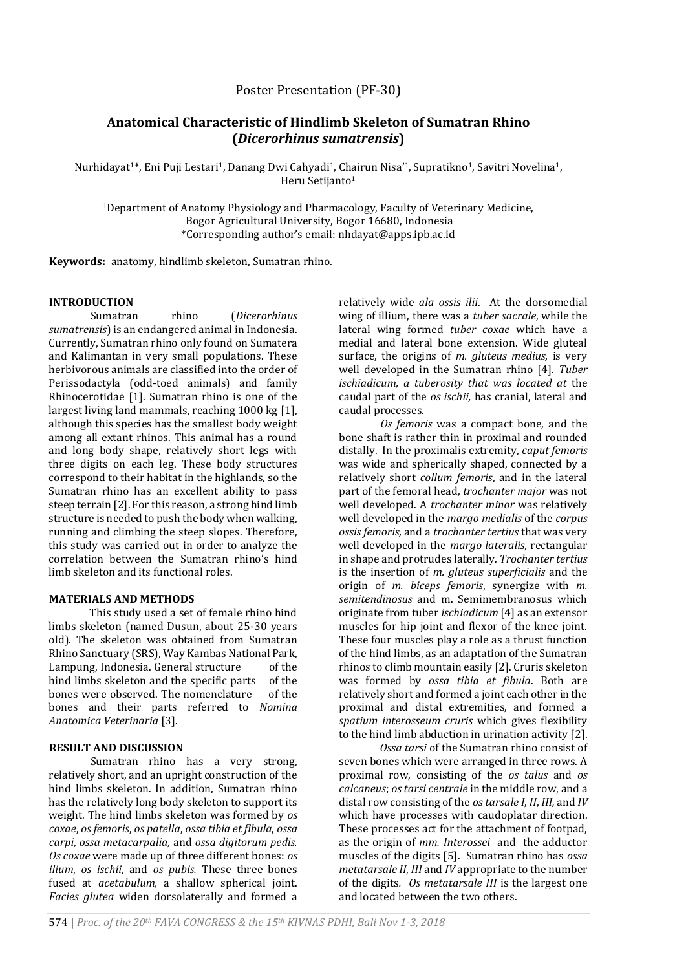## Poster Presentation (PF-30)

# **Anatomical Characteristic of Hindlimb Skeleton of Sumatran Rhino (***Dicerorhinus sumatrensis***)**

Nurhidayat<sup>1\*</sup>, Eni Puji Lestari<sup>1</sup>, Danang Dwi Cahyadi<sup>1</sup>, Chairun Nisa'<sup>1</sup>, Supratikno<sup>1</sup>, Savitri Novelina<sup>1</sup>, Heru Setijanto<sup>1</sup>

<sup>1</sup>Department of Anatomy Physiology and Pharmacology, Faculty of Veterinary Medicine, Bogor Agricultural University, Bogor 16680, Indonesia \*Corresponding author's email: nhdayat@apps.ipb.ac.id

**Keywords:** anatomy, hindlimb skeleton, Sumatran rhino.

## **INTRODUCTION**

Sumatran rhino (*Dicerorhinus sumatrensis*) is an endangered animal in Indonesia. Currently, Sumatran rhino only found on Sumatera and Kalimantan in very small populations. These herbivorous animals are classified into the order of Perissodactyla (odd-toed animals) and family Rhinocerotidae [1]. Sumatran rhino is one of the largest living land mammals, reaching 1000 kg [1], although this species has the smallest body weight among all extant rhinos. This animal has a round and long body shape, relatively short legs with three digits on each leg. These body structures correspond to their habitat in the highlands, so the Sumatran rhino has an excellent ability to pass steep terrain [2]. For this reason, a strong hind limb structure is needed to push the body when walking, running and climbing the steep slopes. Therefore, this study was carried out in order to analyze the correlation between the Sumatran rhino's hind limb skeleton and its functional roles.

#### **MATERIALS AND METHODS**

This study used a set of female rhino hind limbs skeleton (named Dusun, about 25-30 years old). The skeleton was obtained from Sumatran Rhino Sanctuary (SRS), Way Kambas National Park, Lampung, Indonesia. General structure of the hind limbs skeleton and the specific parts of the bones were observed. The nomenclature of the bones and their parts referred to *Nomina Anatomica Veterinaria* [3].

## **RESULT AND DISCUSSION**

Sumatran rhino has a very strong, relatively short, and an upright construction of the hind limbs skeleton. In addition, Sumatran rhino has the relatively long body skeleton to support its weight. The hind limbs skeleton was formed by *os coxae*, *os femoris*, *os patella*, *ossa tibia et fibula*, *ossa carpi*, *ossa metacarpalia*, and *ossa digitorum pedis. Os coxae* were made up of three different bones: *os ilium*, *os ischii*, and *os pubis.* These three bones fused at *acetabulum,* a shallow spherical joint. *Facies glutea* widen dorsolaterally and formed a

relatively wide *ala ossis ilii*. At the dorsomedial wing of illium, there was a *tuber sacrale*, while the lateral wing formed *tuber coxae* which have a medial and lateral bone extension. Wide gluteal surface, the origins of *m. gluteus medius,* is very well developed in the Sumatran rhino [4]. *Tuber ischiadicum, a tuberosity that was located at* the caudal part of the *os ischii,* has cranial, lateral and caudal processes.

*Os femoris* was a compact bone, and the bone shaft is rather thin in proximal and rounded distally. In the proximalis extremity, *caput femoris* was wide and spherically shaped, connected by a relatively short *collum femoris*, and in the lateral part of the femoral head, *trochanter major* was not well developed. A *trochanter minor* was relatively well developed in the *margo medialis* of the *corpus ossis femoris,* and a *trochanter tertius* that was very well developed in the *margo lateralis*, rectangular in shape and protrudes laterally*. Trochanter tertius* is the insertion of *m. gluteus superficialis* and the origin of *m. biceps femoris*, synergize with *m. semitendinosus* and m. Semimembranosus which originate from tuber *ischiadicum* [4] as an extensor muscles for hip joint and flexor of the knee joint. These four muscles play a role as a thrust function of the hind limbs, as an adaptation of the Sumatran rhinos to climb mountain easily [2]. Cruris skeleton was formed by *ossa tibia et fibula*. Both are relatively short and formed a joint each other in the proximal and distal extremities, and formed a *spatium interosseum cruris* which gives flexibility to the hind limb abduction in urination activity [2].

*Ossa tarsi* of the Sumatran rhino consist of seven bones which were arranged in three rows. A proximal row, consisting of the *os talus* and *os calcaneus*; *os tarsi centrale* in the middle row, and a distal row consisting of the *os tarsale I*, *II*, *III,* and *IV* which have processes with caudoplatar direction. These processes act for the attachment of footpad, as the origin of *mm. Interossei* and the adductor muscles of the digits [5]. Sumatran rhino has *ossa metatarsale II, III* and *IV* appropriate to the number of the digits*. Os metatarsale III* is the largest one and located between the two others.